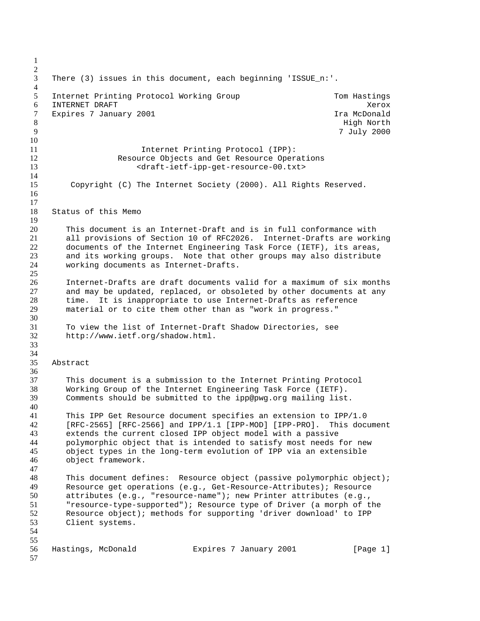There (3) issues in this document, each beginning 'ISSUE\_n:'. 5 Internet Printing Protocol Working Group Tom Hastings 6 INTERNET DRAFT **Xerox** 3.1 and 3.1 and 3.1 and 3.1 and 3.1 and 3.1 and 3.1 and 3.1 and 3.1 and 3.1 and 3.1 and 3.1 and 3.1 and 3.1 and 3.1 and 3.1 and 3.1 and 3.1 and 3.1 and 3.1 and 3.1 and 3.1 and 3.1 and 3.1 and 3.1 a 7 Expires 7 January 2001 **II** and the set of the McDonald High North 7 July 2000 Internet Printing Protocol (IPP): Resource Objects and Get Resource Operations <draft-ietf-ipp-get-resource-00.txt> Copyright (C) The Internet Society (2000). All Rights Reserved. Status of this Memo This document is an Internet-Draft and is in full conformance with all provisions of Section 10 of RFC2026. Internet-Drafts are working documents of the Internet Engineering Task Force (IETF), its areas, and its working groups. Note that other groups may also distribute working documents as Internet-Drafts. Internet-Drafts are draft documents valid for a maximum of six months and may be updated, replaced, or obsoleted by other documents at any time. It is inappropriate to use Internet-Drafts as reference material or to cite them other than as "work in progress." To view the list of Internet-Draft Shadow Directories, see http://www.ietf.org/shadow.html. Abstract This document is a submission to the Internet Printing Protocol Working Group of the Internet Engineering Task Force (IETF). Comments should be submitted to the ipp@pwg.org mailing list. This IPP Get Resource document specifies an extension to IPP/1.0 [RFC-2565] [RFC-2566] and IPP/1.1 [IPP-MOD] [IPP-PRO]. This document extends the current closed IPP object model with a passive polymorphic object that is intended to satisfy most needs for new object types in the long-term evolution of IPP via an extensible object framework. 48 This document defines: Resource object (passive polymorphic object);<br>49 Resource get operations (e.g., Get-Resource-Attributes); Resource Resource get operations (e.g., Get-Resource-Attributes); Resource attributes (e.g., "resource-name"); new Printer attributes (e.g., "resource-type-supported"); Resource type of Driver (a morph of the Resource object); methods for supporting 'driver download' to IPP Client systems. 56 Hastings, McDonald Expires 7 January 2001 [Page 1]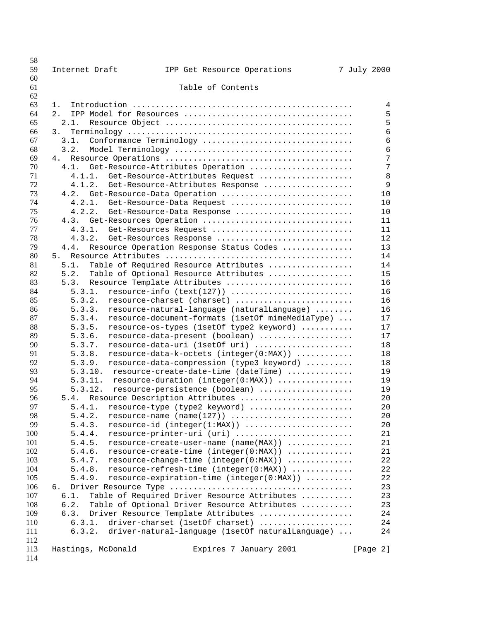| 58         |                    |                                                                                                                  |             |
|------------|--------------------|------------------------------------------------------------------------------------------------------------------|-------------|
| 59         | Internet Draft     | IPP Get Resource Operations                                                                                      | 7 July 2000 |
| 60<br>61   |                    | Table of Contents                                                                                                |             |
| 62         |                    |                                                                                                                  |             |
| 63         | 1.                 |                                                                                                                  | 4           |
| 64         | 2.                 |                                                                                                                  | 5           |
| 65         | 2.1.               |                                                                                                                  | 5           |
| 66         | 3.                 |                                                                                                                  | 6           |
| 67         | 3.1.               | Conformance Terminology                                                                                          | 6           |
| 68         | 3.2.               |                                                                                                                  | 6           |
| 69         | 4.                 |                                                                                                                  | 7           |
| 70         | 4.1.               | Get-Resource-Attributes Operation                                                                                | 7           |
| 71<br>72   | 4.1.2.             | 4.1.1. Get-Resource-Attributes Request                                                                           | 8<br>9      |
| 73         | 4.2.               | Get-Resource-Attributes Response<br>Get-Resource-Data Operation                                                  | 10          |
| 74         | 4.2.1.             | Get-Resource-Data Request                                                                                        | 10          |
| 75         | 4.2.2.             | Get-Resource-Data Response                                                                                       | 10          |
| 76         | 4.3.               | Get-Resources Operation                                                                                          | 11          |
| 77         | 4.3.1.             | Get-Resources Request                                                                                            | 11          |
| 78         | 4.3.2.             | Get-Resources Response                                                                                           | 12          |
| 79         | 4.4.               | Resource Operation Response Status Codes                                                                         | 13          |
| 80         | 5.                 |                                                                                                                  | 14          |
| 81         | 5.1.               | Table of Required Resource Attributes                                                                            | 14          |
| 82         | 5.2.               | Table of Optional Resource Attributes                                                                            | 15          |
| 83         | 5.3.               | Resource Template Attributes                                                                                     | 16          |
| 84<br>85   | 5.3.1.<br>5.3.2.   | $resource\text{-}info (text(127)) \dots \dots \dots \dots \dots \dots \dots \dots$<br>resource-charset (charset) | 16<br>16    |
| 86         | 5.3.3.             | resource-natural-language (naturalLanguage)                                                                      | 16          |
| 87         | 5.3.4.             | resource-document-formats (1setOf mimeMediaType)                                                                 | 17          |
| 88         | 5.3.5.             | resource-os-types (1setOf type2 keyword)                                                                         | 17          |
| 89         | 5.3.6.             | resource-data-present (boolean)                                                                                  | 17          |
| 90         | 5.3.7.             | resource-data-uri (1setOf uri)                                                                                   | 18          |
| 91         | 5.3.8.             | resource-data-k-octets (integer(0:MAX))                                                                          | 18          |
| 92         | 5.3.9.             | resource-data-compression (type3 keyword)                                                                        | 18          |
| 93         | 5.3.10.            | resource-create-date-time (dateTime)                                                                             | 19          |
| 94         | 5.3.11.            | resource-duration (integer(0:MAX))                                                                               | 19          |
| 95         | 5.3.12.            | resource-persistence (boolean)                                                                                   | 19          |
| 96<br>97   |                    | 5.4. Resource Description Attributes                                                                             | 20<br>20    |
| 98         | 5.4.2.             | 5.4.1. resource-type (type2 keyword)                                                                             | 20          |
| 99         | 5.4.3.             | resource-id (integer(1:MAX))                                                                                     | 20          |
| 100        | 5.4.4.             | resource-printer-uri (uri)                                                                                       | 21          |
| 101        | 5.4.5.             | resource-create-user-name (name(MAX))                                                                            | 21          |
| 102        | 5.4.6.             | resource-create-time (integer(0:MAX))                                                                            | 21          |
| 103        | 5.4.7.             | resource-change-time (integer(0:MAX))                                                                            | 22          |
| 104        | 5.4.8.             | resource-refresh-time (integer(0:MAX))                                                                           | 22          |
| 105        | 5.4.9.             | resource-expiration-time (integer(0:MAX))                                                                        | 22          |
| 106        | 6.                 |                                                                                                                  | 23          |
| 107        | 6.1.               | Table of Required Driver Resource Attributes                                                                     | 23          |
| 108        | 6.2.               | Table of Optional Driver Resource Attributes                                                                     | 23          |
| 109        | 6.3.               | Driver Resource Template Attributes                                                                              | 24          |
| 110<br>111 | 6.3.1.<br>6.3.2.   | driver-charset (1setOf charset)<br>driver-natural-language (1setOf naturalLanguage)                              | 24<br>24    |
| 112        |                    |                                                                                                                  |             |
| 113        | Hastings, McDonald | Expires 7 January 2001                                                                                           | [Page 2]    |
| 114        |                    |                                                                                                                  |             |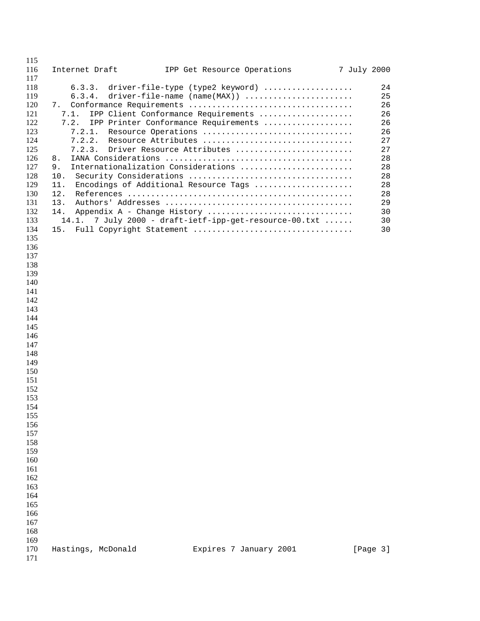| 115<br>116                                                                                                                                                                                                                          | Internet Draft                                                                                                               | IPP Get Resource Operations                                                                                                                                                                                                                                                                                                                                                                       | 7 July 2000 |                                                                                              |
|-------------------------------------------------------------------------------------------------------------------------------------------------------------------------------------------------------------------------------------|------------------------------------------------------------------------------------------------------------------------------|---------------------------------------------------------------------------------------------------------------------------------------------------------------------------------------------------------------------------------------------------------------------------------------------------------------------------------------------------------------------------------------------------|-------------|----------------------------------------------------------------------------------------------|
| 117<br>118<br>119<br>120<br>121<br>122<br>123<br>124<br>125<br>126<br>127<br>128<br>129<br>130<br>131<br>132<br>133                                                                                                                 | 6.3.3.<br>6.3.4.<br>7.<br>7.1.<br>7.2.<br>7.2.1.<br>7.2.2.<br>7.2.3.<br>8.<br>9.<br>10.<br>11.<br>12.<br>13.<br>14.<br>14.1. | driver-file-type (type2 keyword)<br>$driver$ -file-name (name(MAX))<br>IPP Client Conformance Requirements<br>IPP Printer Conformance Requirements<br>Resource Operations<br>Resource Attributes<br>Driver Resource Attributes<br>Internationalization Considerations<br>Encodings of Additional Resource Tags<br>Appendix A - Change History<br>7 July 2000 - draft-ietf-ipp-get-resource-00.txt |             | 24<br>25<br>26<br>26<br>26<br>26<br>27<br>27<br>28<br>28<br>28<br>28<br>28<br>29<br>30<br>30 |
| 134<br>135<br>136<br>137<br>138<br>139<br>140<br>141<br>142<br>143<br>144<br>145<br>146<br>147<br>148<br>149<br>150<br>151<br>152<br>153<br>154<br>155<br>156<br>157<br>158<br>159<br>160<br>161<br>162<br>163<br>164<br>165<br>166 | 15.                                                                                                                          | Full Copyright Statement                                                                                                                                                                                                                                                                                                                                                                          |             | 30                                                                                           |
| 167<br>168<br>169<br>170<br>171                                                                                                                                                                                                     | Hastings, McDonald                                                                                                           | Expires 7 January 2001                                                                                                                                                                                                                                                                                                                                                                            |             | [Page 3]                                                                                     |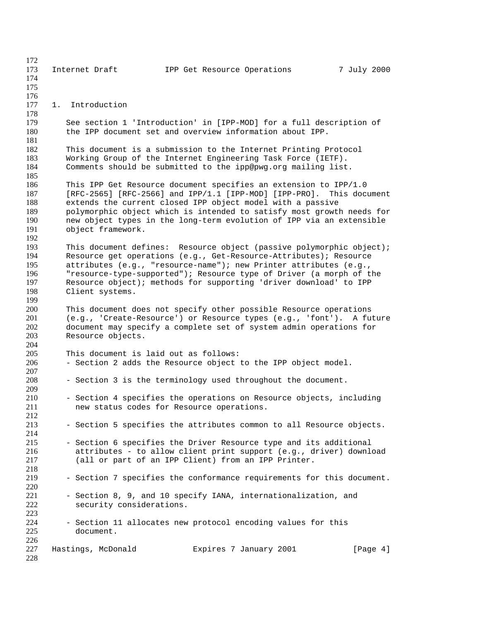| 172        |                          |                                                                                                                                 |             |
|------------|--------------------------|---------------------------------------------------------------------------------------------------------------------------------|-------------|
| 173<br>174 | Internet Draft           | IPP Get Resource Operations                                                                                                     | 7 July 2000 |
| 175        |                          |                                                                                                                                 |             |
| 176        |                          |                                                                                                                                 |             |
| 177        | 1. Introduction          |                                                                                                                                 |             |
| 178        |                          |                                                                                                                                 |             |
| 179        |                          | See section 1 'Introduction' in [IPP-MOD] for a full description of                                                             |             |
| 180        |                          | the IPP document set and overview information about IPP.                                                                        |             |
| 181<br>182 |                          |                                                                                                                                 |             |
| 183        |                          | This document is a submission to the Internet Printing Protocol<br>Working Group of the Internet Engineering Task Force (IETF). |             |
| 184        |                          | Comments should be submitted to the ipp@pwg.org mailing list.                                                                   |             |
| 185        |                          |                                                                                                                                 |             |
| 186        |                          | This IPP Get Resource document specifies an extension to IPP/1.0                                                                |             |
| 187        |                          | $[RFC-2565]$ $[RFC-2566]$ and $IPP/1.1$ $[IPP-MOD]$ $[IPP-PRO]$ . This document                                                 |             |
| 188        |                          | extends the current closed IPP object model with a passive                                                                      |             |
| 189        |                          | polymorphic object which is intended to satisfy most growth needs for                                                           |             |
| 190<br>191 |                          | new object types in the long-term evolution of IPP via an extensible                                                            |             |
| 192        | object framework.        |                                                                                                                                 |             |
| 193        |                          | This document defines: Resource object (passive polymorphic object);                                                            |             |
| 194        |                          | Resource get operations (e.g., Get-Resource-Attributes); Resource                                                               |             |
| 195        |                          | attributes (e.g., "resource-name"); new Printer attributes (e.g.,                                                               |             |
| 196        |                          | "resource-type-supported"); Resource type of Driver (a morph of the                                                             |             |
| 197        |                          | Resource object); methods for supporting 'driver download' to IPP                                                               |             |
| 198        | Client systems.          |                                                                                                                                 |             |
| 199<br>200 |                          | This document does not specify other possible Resource operations                                                               |             |
| 201        |                          | (e.g., 'Create-Resource') or Resource types (e.g., 'font'). A future                                                            |             |
| 202        |                          | document may specify a complete set of system admin operations for                                                              |             |
| 203        | Resource objects.        |                                                                                                                                 |             |
| 204        |                          |                                                                                                                                 |             |
| 205        |                          | This document is laid out as follows:                                                                                           |             |
| 206<br>207 |                          | - Section 2 adds the Resource object to the IPP object model.                                                                   |             |
| 208        |                          | - Section 3 is the terminology used throughout the document.                                                                    |             |
| 209        |                          |                                                                                                                                 |             |
| 210        |                          | - Section 4 specifies the operations on Resource objects, including                                                             |             |
| 211        |                          | new status codes for Resource operations.                                                                                       |             |
| 212        |                          |                                                                                                                                 |             |
| 213<br>214 |                          | - Section 5 specifies the attributes common to all Resource objects.                                                            |             |
| 215        |                          | - Section 6 specifies the Driver Resource type and its additional                                                               |             |
| 216        |                          | attributes - to allow client print support (e.g., driver) download                                                              |             |
| 217        |                          | (all or part of an IPP Client) from an IPP Printer.                                                                             |             |
| 218        |                          |                                                                                                                                 |             |
| 219        |                          | - Section 7 specifies the conformance requirements for this document.                                                           |             |
| 220<br>221 |                          | - Section 8, 9, and 10 specify IANA, internationalization, and                                                                  |             |
| 222        | security considerations. |                                                                                                                                 |             |
| 223        |                          |                                                                                                                                 |             |
| 224        |                          | - Section 11 allocates new protocol encoding values for this                                                                    |             |
| 225        | document.                |                                                                                                                                 |             |
| 226        |                          |                                                                                                                                 |             |
| 227        | Hastings, McDonald       | Expires 7 January 2001                                                                                                          | [Page 4]    |
| 228        |                          |                                                                                                                                 |             |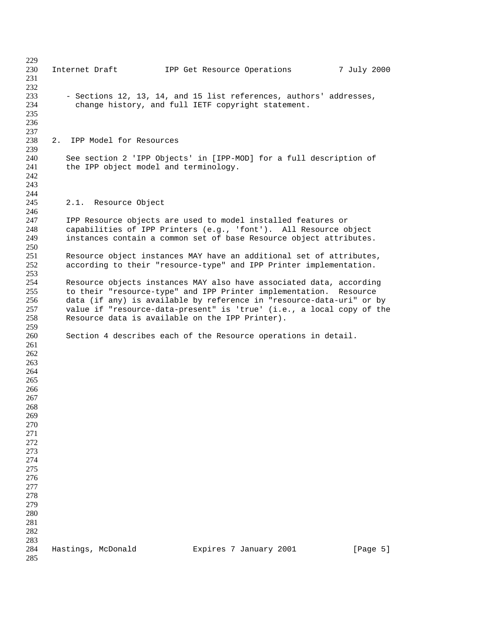| 229 |    |                                       |                                                                       |             |  |
|-----|----|---------------------------------------|-----------------------------------------------------------------------|-------------|--|
| 230 |    | Internet Draft                        | IPP Get Resource Operations                                           | 7 July 2000 |  |
| 231 |    |                                       |                                                                       |             |  |
| 232 |    |                                       |                                                                       |             |  |
| 233 |    |                                       | - Sections 12, 13, 14, and 15 list references, authors' addresses,    |             |  |
| 234 |    |                                       | change history, and full IETF copyright statement.                    |             |  |
| 235 |    |                                       |                                                                       |             |  |
|     |    |                                       |                                                                       |             |  |
| 236 |    |                                       |                                                                       |             |  |
| 237 |    |                                       |                                                                       |             |  |
| 238 | 2. | IPP Model for Resources               |                                                                       |             |  |
| 239 |    |                                       |                                                                       |             |  |
| 240 |    |                                       | See section 2 'IPP Objects' in [IPP-MOD] for a full description of    |             |  |
| 241 |    | the IPP object model and terminology. |                                                                       |             |  |
| 242 |    |                                       |                                                                       |             |  |
| 243 |    |                                       |                                                                       |             |  |
| 244 |    |                                       |                                                                       |             |  |
| 245 |    | 2.1. Resource Object                  |                                                                       |             |  |
| 246 |    |                                       |                                                                       |             |  |
|     |    |                                       |                                                                       |             |  |
| 247 |    |                                       | IPP Resource objects are used to model installed features or          |             |  |
| 248 |    |                                       | capabilities of IPP Printers (e.g., 'font'). All Resource object      |             |  |
| 249 |    |                                       | instances contain a common set of base Resource object attributes.    |             |  |
| 250 |    |                                       |                                                                       |             |  |
| 251 |    |                                       | Resource object instances MAY have an additional set of attributes,   |             |  |
| 252 |    |                                       | according to their "resource-type" and IPP Printer implementation.    |             |  |
| 253 |    |                                       |                                                                       |             |  |
| 254 |    |                                       | Resource objects instances MAY also have associated data, according   |             |  |
| 255 |    |                                       | to their "resource-type" and IPP Printer implementation. Resource     |             |  |
| 256 |    |                                       | data (if any) is available by reference in "resource-data-uri" or by  |             |  |
| 257 |    |                                       | value if "resource-data-present" is 'true' (i.e., a local copy of the |             |  |
| 258 |    |                                       | Resource data is available on the IPP Printer).                       |             |  |
|     |    |                                       |                                                                       |             |  |
| 259 |    |                                       |                                                                       |             |  |
| 260 |    |                                       | Section 4 describes each of the Resource operations in detail.        |             |  |
| 261 |    |                                       |                                                                       |             |  |
| 262 |    |                                       |                                                                       |             |  |
| 263 |    |                                       |                                                                       |             |  |
| 264 |    |                                       |                                                                       |             |  |
| 265 |    |                                       |                                                                       |             |  |
| 266 |    |                                       |                                                                       |             |  |
| 267 |    |                                       |                                                                       |             |  |
| 268 |    |                                       |                                                                       |             |  |
| 269 |    |                                       |                                                                       |             |  |
| 270 |    |                                       |                                                                       |             |  |
|     |    |                                       |                                                                       |             |  |
| 271 |    |                                       |                                                                       |             |  |
| 272 |    |                                       |                                                                       |             |  |
| 273 |    |                                       |                                                                       |             |  |
| 274 |    |                                       |                                                                       |             |  |
| 275 |    |                                       |                                                                       |             |  |
| 276 |    |                                       |                                                                       |             |  |
| 277 |    |                                       |                                                                       |             |  |
| 278 |    |                                       |                                                                       |             |  |
| 279 |    |                                       |                                                                       |             |  |
| 280 |    |                                       |                                                                       |             |  |
| 281 |    |                                       |                                                                       |             |  |
| 282 |    |                                       |                                                                       |             |  |
| 283 |    |                                       |                                                                       |             |  |
| 284 |    |                                       |                                                                       |             |  |
|     |    | Hastings, McDonald                    | Expires 7 January 2001                                                | [Page 5]    |  |
| 285 |    |                                       |                                                                       |             |  |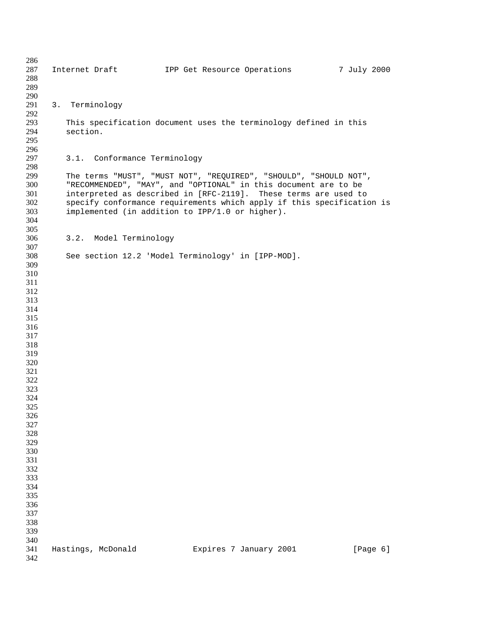287 Internet Draft 1PP Get Resource Operations 7 July 2000 3. Terminology This specification document uses the terminology defined in this section. 3.1. Conformance Terminology The terms "MUST", "MUST NOT", "REQUIRED", "SHOULD", "SHOULD NOT", "RECOMMENDED", "MAY", and "OPTIONAL" in this document are to be interpreted as described in [RFC-2119]. These terms are used to specify conformance requirements which apply if this specification is implemented (in addition to IPP/1.0 or higher). 3.2. Model Terminology See section 12.2 'Model Terminology' in [IPP-MOD]. 341 Hastings, McDonald Expires 7 January 2001 [Page 6]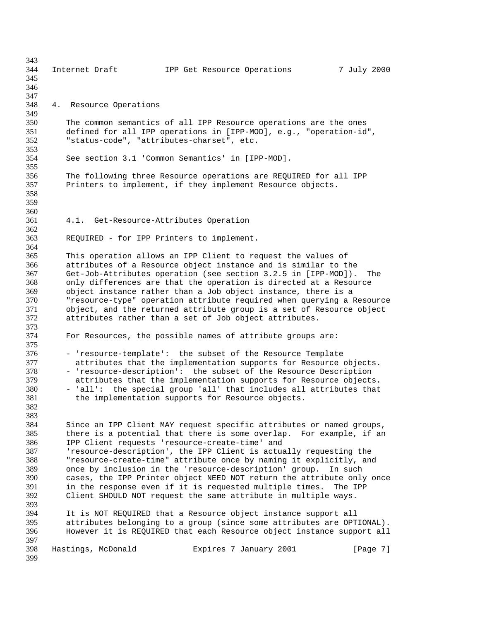344 Internet Draft 1PP Get Resource Operations 7 July 2000 4. Resource Operations 350 The common semantics of all IPP Resource operations are the ones<br>351 defined for all IPP operations in [IPP-MOD], e.g., "operation-id defined for all IPP operations in [IPP-MOD], e.g., "operation-id", "status-code", "attributes-charset", etc. See section 3.1 'Common Semantics' in [IPP-MOD]. The following three Resource operations are REQUIRED for all IPP Printers to implement, if they implement Resource objects. 4.1. Get-Resource-Attributes Operation REQUIRED - for IPP Printers to implement. This operation allows an IPP Client to request the values of attributes of a Resource object instance and is similar to the Get-Job-Attributes operation (see section 3.2.5 in [IPP-MOD]). The only differences are that the operation is directed at a Resource object instance rather than a Job object instance, there is a "resource-type" operation attribute required when querying a Resource 371 object, and the returned attribute group is a set of Resource object<br>372 attributes rather than a set of Job object attributes. attributes rather than a set of Job object attributes. 373<br>374 For Resources, the possible names of attribute groups are: 376 - 'resource-template': the subset of the Resource Template<br>377 - attributes that the implementation supports for Resource 377 attributes that the implementation supports for Resource objects.<br>378 - 'resource-description': the subset of the Resource Description 378 - 'resource-description': the subset of the Resource Description<br>379 - attributes that the implementation supports for Resource objects attributes that the implementation supports for Resource objects. - 'all': the special group 'all' that includes all attributes that the implementation supports for Resource objects. Since an IPP Client MAY request specific attributes or named groups, there is a potential that there is some overlap. For example, if an IPP Client requests 'resource-create-time' and 'resource-description', the IPP Client is actually requesting the "resource-create-time" attribute once by naming it explicitly, and once by inclusion in the 'resource-description' group. In such 390 cases, the IPP Printer object NEED NOT return the attribute only once<br>391 in the response even if it is requested multiple times. The IPP 391 in the response even if it is requested multiple times. The IPP 392 Client SHOULD NOT request the same attribute in multiple ways. Client SHOULD NOT request the same attribute in multiple ways. It is NOT REQUIRED that a Resource object instance support all attributes belonging to a group (since some attributes are OPTIONAL). However it is REQUIRED that each Resource object instance support all 398 Hastings, McDonald Expires 7 January 2001 [Page 7]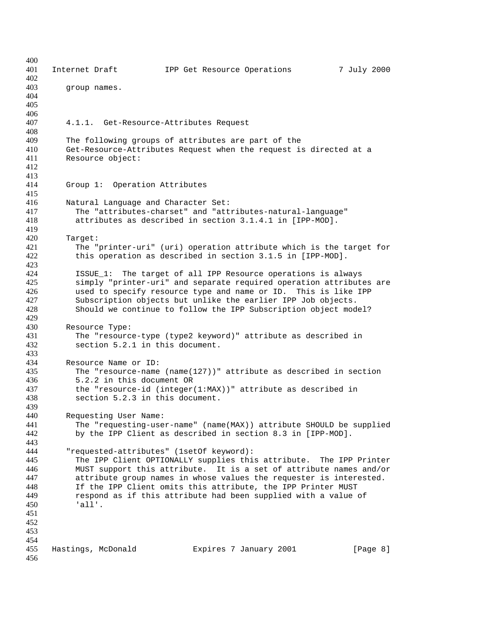| 400        |                                                                                                                                   |
|------------|-----------------------------------------------------------------------------------------------------------------------------------|
| 401        | 7 July 2000<br>Internet Draft<br>IPP Get Resource Operations                                                                      |
| 402        |                                                                                                                                   |
| 403        | group names.                                                                                                                      |
| 404<br>405 |                                                                                                                                   |
| 406        |                                                                                                                                   |
| 407        | 4.1.1. Get-Resource-Attributes Request                                                                                            |
| 408        |                                                                                                                                   |
| 409        | The following groups of attributes are part of the                                                                                |
| 410        | Get-Resource-Attributes Request when the request is directed at a                                                                 |
| 411        | Resource object:                                                                                                                  |
| 412        |                                                                                                                                   |
| 413        |                                                                                                                                   |
| 414        | Group 1: Operation Attributes                                                                                                     |
| 415        |                                                                                                                                   |
| 416        | Natural Language and Character Set:                                                                                               |
| 417        | The "attributes-charset" and "attributes-natural-language"                                                                        |
| 418        | attributes as described in section 3.1.4.1 in [IPP-MOD].                                                                          |
| 419        |                                                                                                                                   |
| 420<br>421 | Target:                                                                                                                           |
| 422        | The "printer-uri" (uri) operation attribute which is the target for<br>this operation as described in section 3.1.5 in [IPP-MOD]. |
| 423        |                                                                                                                                   |
| 424        | ISSUE_1: The target of all IPP Resource operations is always                                                                      |
| 425        | simply "printer-uri" and separate required operation attributes are                                                               |
| 426        | used to specify resource type and name or ID. This is like IPP                                                                    |
| 427        | Subscription objects but unlike the earlier IPP Job objects.                                                                      |
| 428        | Should we continue to follow the IPP Subscription object model?                                                                   |
| 429        |                                                                                                                                   |
| 430        | Resource Type:                                                                                                                    |
| 431        | The "resource-type (type2 keyword)" attribute as described in                                                                     |
| 432        | section 5.2.1 in this document.                                                                                                   |
| 433        |                                                                                                                                   |
| 434        | Resource Name or ID:                                                                                                              |
| 435        | The "resource-name (name( $127$ ))" attribute as described in section                                                             |
| 436<br>437 | 5.2.2 in this document OR<br>the "resource-id (integer(1:MAX))" attribute as described in                                         |
| 438        | section 5.2.3 in this document.                                                                                                   |
| 439        |                                                                                                                                   |
| 440        | Requesting User Name:                                                                                                             |
| 441        | The "requesting-user-name" (name(MAX)) attribute SHOULD be supplied                                                               |
| 442        | by the IPP Client as described in section 8.3 in [IPP-MOD].                                                                       |
| 443        |                                                                                                                                   |
| 444        | "requested-attributes" (1setOf keyword):                                                                                          |
| 445        | The IPP Client OPTIONALLY supplies this attribute. The IPP Printer                                                                |
| 446        | MUST support this attribute. It is a set of attribute names and/or                                                                |
| 447        | attribute group names in whose values the requester is interested.                                                                |
| 448        | If the IPP Client omits this attribute, the IPP Printer MUST                                                                      |
| 449        | respond as if this attribute had been supplied with a value of                                                                    |
| 450        | lall'.                                                                                                                            |
| 451        |                                                                                                                                   |
| 452        |                                                                                                                                   |
| 453<br>454 |                                                                                                                                   |
| 455        | Hastings, McDonald<br>Expires 7 January 2001<br>[Page 8]                                                                          |
| 456        |                                                                                                                                   |
|            |                                                                                                                                   |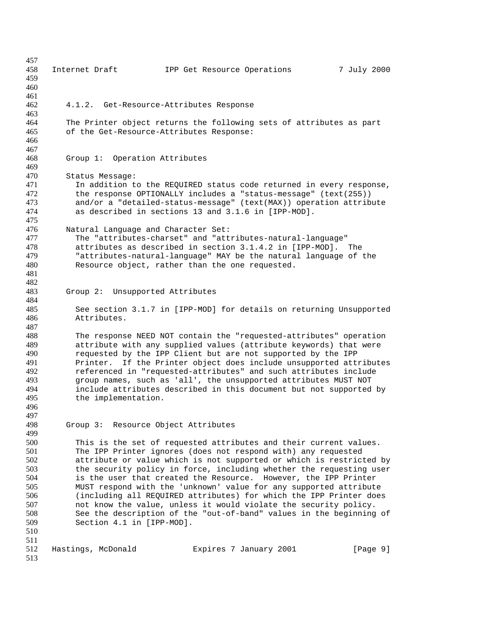458 Internet Draft 1PP Get Resource Operations 7 July 2000 4.1.2. Get-Resource-Attributes Response 464 The Printer object returns the following sets of attributes as part<br>465 of the Get-Resource-Attributes Response: of the Get-Resource-Attributes Response: Group 1: Operation Attributes Status Message: 471 In addition to the REQUIRED status code returned in every response,<br>472 the response OPTIONALLY includes a "status-message" (text(255)) 472 the response OPTIONALLY includes a "status-message" (text(255))<br>473 and/or a "detailed-status-message" (text(MAX)) operation attrib 473 and/or a "detailed-status-message" (text(MAX)) operation attribute<br>474 as described in sections 13 and 3.1.6 in [IPP-MOD]. as described in sections 13 and 3.1.6 in [IPP-MOD]. Natural Language and Character Set: The "attributes-charset" and "attributes-natural-language" attributes as described in section 3.1.4.2 in [IPP-MOD]. The "attributes-natural-language" MAY be the natural language of the Resource object, rather than the one requested. Group 2: Unsupported Attributes See section 3.1.7 in [IPP-MOD] for details on returning Unsupported Attributes. The response NEED NOT contain the "requested-attributes" operation attribute with any supplied values (attribute keywords) that were 490 requested by the IPP Client but are not supported by the IPP<br>491 Printer. If the Printer object does include unsupported att 491 Printer. If the Printer object does include unsupported attributes<br>492 ereferenced in "requested-attributes" and such attributes include referenced in "requested-attributes" and such attributes include group names, such as 'all', the unsupported attributes MUST NOT 494 include attributes described in this document but not supported by<br>495 the implementation. the implementation. Group 3: Resource Object Attributes This is the set of requested attributes and their current values. The IPP Printer ignores (does not respond with) any requested attribute or value which is not supported or which is restricted by 503 the security policy in force, including whether the requesting user<br>504 is the user that created the Resource. However, the IPP Printer 504 is the user that created the Resource. However, the IPP Printer<br>505 MUST respond with the 'unknown' value for any supported attribute MUST respond with the 'unknown' value for any supported attribute (including all REQUIRED attributes) for which the IPP Printer does not know the value, unless it would violate the security policy. See the description of the "out-of-band" values in the beginning of Section 4.1 in [IPP-MOD]. 512 Hastings, McDonald Expires 7 January 2001 [Page 9]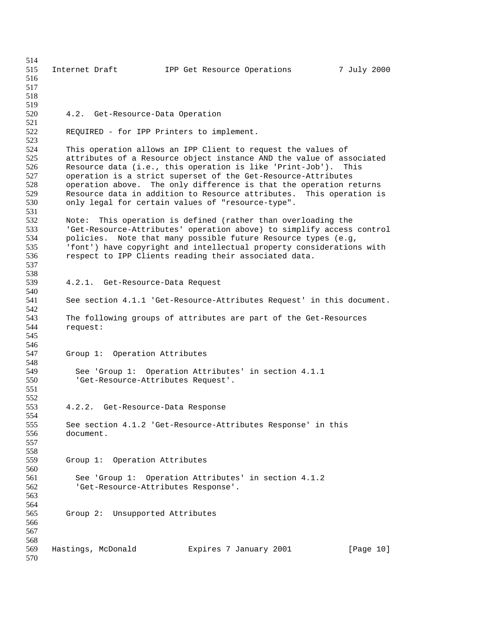515 Internet Draft 1PP Get Resource Operations 7 July 2000 4.2. Get-Resource-Data Operation REQUIRED - for IPP Printers to implement. This operation allows an IPP Client to request the values of attributes of a Resource object instance AND the value of associated Resource data (i.e., this operation is like 'Print-Job'). This operation is a strict superset of the Get-Resource-Attributes 528 operation above. The only difference is that the operation returns<br>529 Resource data in addition to Resource attributes. This operation is 529 Resource data in addition to Resource attributes. This operation is<br>530 only legal for certain values of "resource-type". only legal for certain values of "resource-type". 531<br>532 532 Note: This operation is defined (rather than overloading the<br>533 Set-Resource-Attributes' operation above) to simplify access 'Get-Resource-Attributes' operation above) to simplify access control policies. Note that many possible future Resource types (e.g, 'font') have copyright and intellectual property considerations with respect to IPP Clients reading their associated data. 4.2.1. Get-Resource-Data Request See section 4.1.1 'Get-Resource-Attributes Request' in this document. The following groups of attributes are part of the Get-Resources request: Group 1: Operation Attributes 549 See 'Group 1: Operation Attributes' in section 4.1.1<br>550 Set-Resource-Attributes Request'. 'Get-Resource-Attributes Request'. 552<br>553 4.2.2. Get-Resource-Data Response See section 4.1.2 'Get-Resource-Attributes Response' in this document. Group 1: Operation Attributes See 'Group 1: Operation Attributes' in section 4.1.2 'Get-Resource-Attributes Response'. Group 2: Unsupported Attributes Hastings, McDonald Expires 7 January 2001 [Page 10]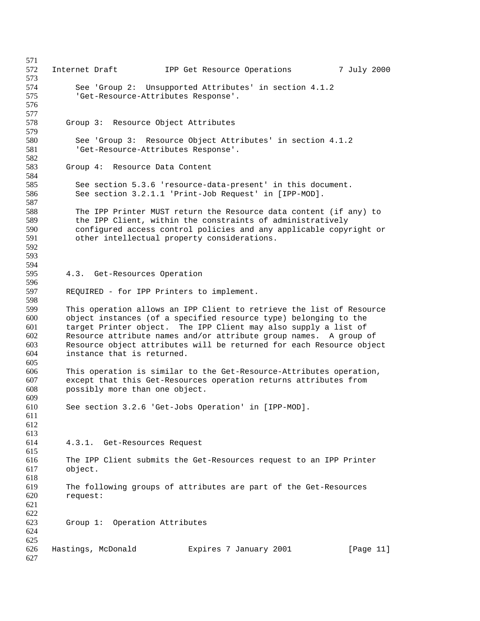572 Internet Draft 1PP Get Resource Operations 7 July 2000 See 'Group 2: Unsupported Attributes' in section 4.1.2 'Get-Resource-Attributes Response'. Group 3: Resource Object Attributes See 'Group 3: Resource Object Attributes' in section 4.1.2 'Get-Resource-Attributes Response'. Group 4: Resource Data Content 585 See section 5.3.6 'resource-data-present' in this document.<br>586 See section 3.2.1.1 'Print-Job Request' in [IPP-MOD]. See section 3.2.1.1 'Print-Job Request' in [IPP-MOD]. 588 The IPP Printer MUST return the Resource data content (if any) to<br>589 the IPP Client, within the constraints of administratively 589 the IPP Client, within the constraints of administratively<br>590 configured access control policies and any applicable copy configured access control policies and any applicable copyright or other intellectual property considerations. 4.3. Get-Resources Operation REQUIRED - for IPP Printers to implement. This operation allows an IPP Client to retrieve the list of Resource object instances (of a specified resource type) belonging to the target Printer object. The IPP Client may also supply a list of Resource attribute names and/or attribute group names. A group of Resource object attributes will be returned for each Resource object instance that is returned. This operation is similar to the Get-Resource-Attributes operation, except that this Get-Resources operation returns attributes from possibly more than one object. 609<br>610 See section 3.2.6 'Get-Jobs Operation' in [IPP-MOD]. 4.3.1. Get-Resources Request The IPP Client submits the Get-Resources request to an IPP Printer object. The following groups of attributes are part of the Get-Resources request: Group 1: Operation Attributes Hastings, McDonald Expires 7 January 2001 [Page 11]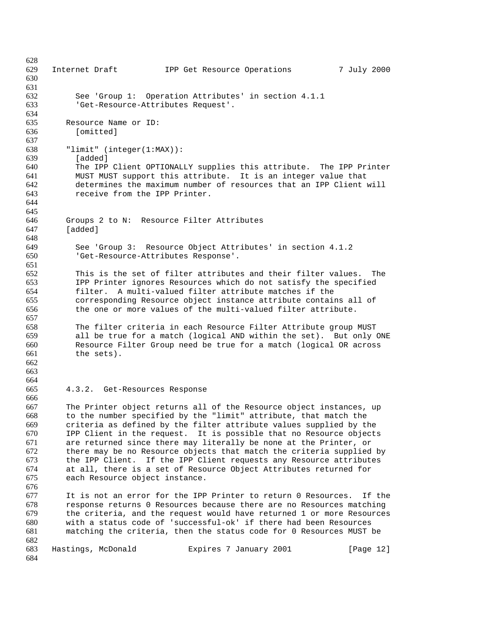| 628        |                                                                             |                                                |              |
|------------|-----------------------------------------------------------------------------|------------------------------------------------|--------------|
| 629        | Internet Draft                                                              | IPP Get Resource Operations                    | 7 July 2000  |
| 630        |                                                                             |                                                |              |
| 631        |                                                                             |                                                |              |
| 632        | See 'Group 1: Operation Attributes' in section 4.1.1                        |                                                |              |
| 633        | 'Get-Resource-Attributes Request'.                                          |                                                |              |
| 634        |                                                                             |                                                |              |
| 635        | Resource Name or ID:                                                        |                                                |              |
| 636        | [omitted]                                                                   |                                                |              |
| 637        |                                                                             |                                                |              |
| 638        | "limit" (integer(1:MAX)):                                                   |                                                |              |
| 639        | [added]                                                                     |                                                |              |
| 640        | The IPP Client OPTIONALLY supplies this attribute. The IPP Printer          |                                                |              |
| 641        | MUST MUST support this attribute. It is an integer value that               |                                                |              |
| 642        | determines the maximum number of resources that an IPP Client will          |                                                |              |
| 643        | receive from the IPP Printer.                                               |                                                |              |
| 644        |                                                                             |                                                |              |
| 645        |                                                                             |                                                |              |
| 646        | Groups 2 to N: Resource Filter Attributes                                   |                                                |              |
| 647        | [added]                                                                     |                                                |              |
| 648        |                                                                             |                                                |              |
| 649        | See 'Group 3: Resource Object Attributes' in section 4.1.2                  |                                                |              |
| 650        | 'Get-Resource-Attributes Response'.                                         |                                                |              |
| 651<br>652 |                                                                             |                                                | The          |
| 653        | This is the set of filter attributes and their filter values.               |                                                |              |
| 654        | IPP Printer ignores Resources which do not satisfy the specified<br>filter. | A multi-valued filter attribute matches if the |              |
| 655        | corresponding Resource object instance attribute contains all of            |                                                |              |
| 656        | the one or more values of the multi-valued filter attribute.                |                                                |              |
| 657        |                                                                             |                                                |              |
| 658        | The filter criteria in each Resource Filter Attribute group MUST            |                                                |              |
| 659        | all be true for a match (logical AND within the set). But only ONE          |                                                |              |
| 660        | Resource Filter Group need be true for a match (logical OR across           |                                                |              |
| 661        | the sets).                                                                  |                                                |              |
| 662        |                                                                             |                                                |              |
| 663        |                                                                             |                                                |              |
| 664        |                                                                             |                                                |              |
| 665        | 4.3.2. Get-Resources Response                                               |                                                |              |
| 666        |                                                                             |                                                |              |
| 667        | The Printer object returns all of the Resource object instances, up         |                                                |              |
| 668        | to the number specified by the "limit" attribute, that match the            |                                                |              |
| 669        | criteria as defined by the filter attribute values supplied by the          |                                                |              |
| 670        | IPP Client in the request. It is possible that no Resource objects          |                                                |              |
| 671        | are returned since there may literally be none at the Printer, or           |                                                |              |
| 672        | there may be no Resource objects that match the criteria supplied by        |                                                |              |
| 673        | the IPP Client. If the IPP Client requests any Resource attributes          |                                                |              |
| 674        | at all, there is a set of Resource Object Attributes returned for           |                                                |              |
| 675        | each Resource object instance.                                              |                                                |              |
| 676        |                                                                             |                                                |              |
| 677        | It is not an error for the IPP Printer to return 0 Resources. If the        |                                                |              |
| 678        | response returns 0 Resources because there are no Resources matching        |                                                |              |
| 679        | the criteria, and the request would have returned 1 or more Resources       |                                                |              |
| 680        | with a status code of 'successful-ok' if there had been Resources           |                                                |              |
| 681        | matching the criteria, then the status code for 0 Resources MUST be         |                                                |              |
| 682        |                                                                             |                                                |              |
| 683        | Hastings, McDonald                                                          | Expires 7 January 2001                         | [Page $12$ ] |
| 684        |                                                                             |                                                |              |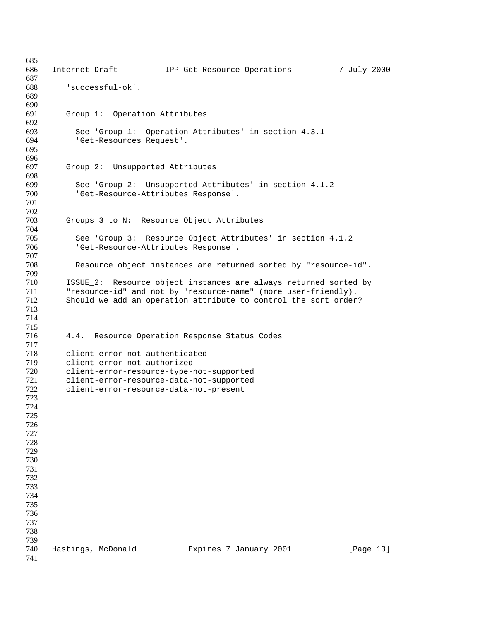| 685<br>686 | Internet Draft                                | IPP Get Resource Operations                                      | 7 July 2000 |
|------------|-----------------------------------------------|------------------------------------------------------------------|-------------|
| 687        |                                               |                                                                  |             |
| 688        | 'successful-ok'.                              |                                                                  |             |
| 689        |                                               |                                                                  |             |
| 690        |                                               |                                                                  |             |
| 691        | Group 1: Operation Attributes                 |                                                                  |             |
| 692        |                                               |                                                                  |             |
| 693        |                                               | See 'Group 1: Operation Attributes' in section 4.3.1             |             |
| 694        | 'Get-Resources Request'.                      |                                                                  |             |
| 695        |                                               |                                                                  |             |
| 696        |                                               |                                                                  |             |
| 697        | Group 2: Unsupported Attributes               |                                                                  |             |
| 698        |                                               |                                                                  |             |
| 699        |                                               | See 'Group 2: Unsupported Attributes' in section 4.1.2           |             |
| 700        | 'Get-Resource-Attributes Response'.           |                                                                  |             |
| 701        |                                               |                                                                  |             |
| 702        |                                               |                                                                  |             |
| 703        | Groups 3 to N: Resource Object Attributes     |                                                                  |             |
| 704<br>705 |                                               |                                                                  |             |
| 706        | 'Get-Resource-Attributes Response'.           | See 'Group 3: Resource Object Attributes' in section 4.1.2       |             |
| 707        |                                               |                                                                  |             |
| 708        |                                               | Resource object instances are returned sorted by "resource-id".  |             |
| 709        |                                               |                                                                  |             |
| 710        |                                               | ISSUE_2: Resource object instances are always returned sorted by |             |
| 711        |                                               | "resource-id" and not by "resource-name" (more user-friendly).   |             |
| 712        |                                               | Should we add an operation attribute to control the sort order?  |             |
| 713        |                                               |                                                                  |             |
| 714        |                                               |                                                                  |             |
| 715        |                                               |                                                                  |             |
| 716        | 4.4. Resource Operation Response Status Codes |                                                                  |             |
| 717        |                                               |                                                                  |             |
| 718        | client-error-not-authenticated                |                                                                  |             |
| 719        | client-error-not-authorized                   |                                                                  |             |
| 720        | client-error-resource-type-not-supported      |                                                                  |             |
| 721        | client-error-resource-data-not-supported      |                                                                  |             |
| 722        | client-error-resource-data-not-present        |                                                                  |             |
| 723        |                                               |                                                                  |             |
| 724        |                                               |                                                                  |             |
| 725        |                                               |                                                                  |             |
| 726        |                                               |                                                                  |             |
| 727        |                                               |                                                                  |             |
| 728<br>729 |                                               |                                                                  |             |
| 730        |                                               |                                                                  |             |
| 731        |                                               |                                                                  |             |
| 732        |                                               |                                                                  |             |
| 733        |                                               |                                                                  |             |
| 734        |                                               |                                                                  |             |
| 735        |                                               |                                                                  |             |
| 736        |                                               |                                                                  |             |
| 737        |                                               |                                                                  |             |
| 738        |                                               |                                                                  |             |
| 739        |                                               |                                                                  |             |
| 740        | Hastings, McDonald                            | Expires 7 January 2001                                           | [Page 13]   |
| 741        |                                               |                                                                  |             |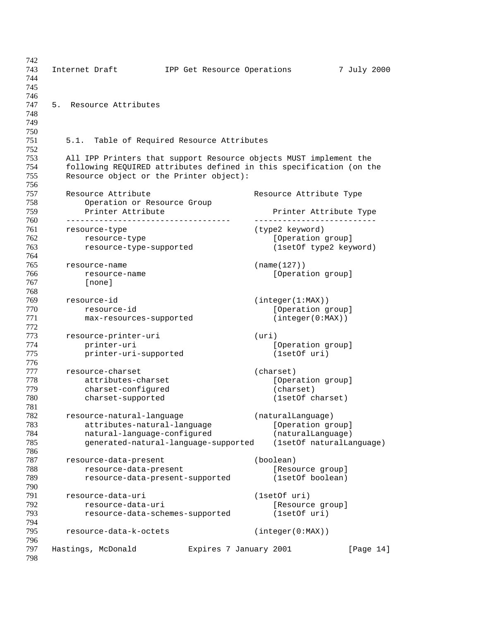743 Internet Draft 1PP Get Resource Operations 7 July 2000 5. Resource Attributes 5.1. Table of Required Resource Attributes All IPP Printers that support Resource objects MUST implement the following REQUIRED attributes defined in this specification (on the Resource object or the Printer object): 757 Resource Attribute **Resource Attribute** Resource Attribute Type Operation or Resource Group Printer Attribute Printer Attribute Type ----------------------------------- -------------------------- resource-type (type2 keyword) 762 resource-type [Operation group] resource-type-supported (1setOf type2 keyword) resource-name (name(127)) **resource-name contained a set of the contained resource-name [Operation group]**  [none] resource-id (integer(1:MAX)) 770 resource-id [Operation group] 771 max-resources-supported (integer(0:MAX)) resource-printer-uri (uri) **printer-uri contains the contract of the printer-uri contains the contract of the contract of the contract of the contract of the contract of the contract of the contract of the contract of the contract of the con**  printer-uri-supported (1setOf uri) 777 resource-charset (charset)<br>778 attributes-charset (Opera attributes-charset [Operation group]<br>
charset-configured (charset) 779 charset-configured charset-supported (1setOf charset) 182 resource-natural-language (naturalLanguage)<br>
783 attributes-natural-language [Operation group<br>
784 antural language [Operation group **1983 attributes-natural-language** [Operation group] natural-language-configured (naturalLanguage) generated-natural-language-supported (1setOf naturalLanguage) resource-data-present (boolean) 788 resource-data-present [Resource group] resource-data-present-supported (1setOf boolean) resource-data-uri (1setOf uri) resource-data-uri [Resource group] resource-data-schemes-supported (1setOf uri) resource-data-k-octets (integer(0:MAX)) Hastings, McDonald Expires 7 January 2001 [Page 14]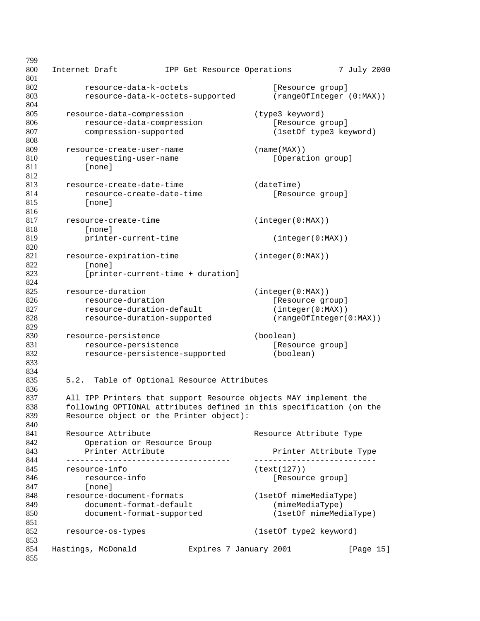| 799        |                                                                                                                                         |                                       |                                              |             |
|------------|-----------------------------------------------------------------------------------------------------------------------------------------|---------------------------------------|----------------------------------------------|-------------|
| 800        | Internet Draft                                                                                                                          | IPP Get Resource Operations           |                                              | 7 July 2000 |
| 801<br>802 |                                                                                                                                         |                                       |                                              |             |
| 803        | resource-data-k-octets                                                                                                                  | resource-data-k-octets-supported      | [Resource group]<br>(rangeOfInteger (0:MAX)) |             |
| 804        |                                                                                                                                         |                                       |                                              |             |
| 805        | resource-data-compression                                                                                                               |                                       | (type3 keyword)                              |             |
| 806        | resource-data-compression                                                                                                               |                                       | [Resource group]                             |             |
| 807        | compression-supported                                                                                                                   |                                       | (1setOf type3 keyword)                       |             |
| 808        |                                                                                                                                         |                                       |                                              |             |
| 809        | resource-create-user-name                                                                                                               |                                       | (name(MAX))                                  |             |
| 810        | requesting-user-name                                                                                                                    |                                       | [Operation group]                            |             |
| 811        | [none]                                                                                                                                  |                                       |                                              |             |
| 812        |                                                                                                                                         |                                       |                                              |             |
| 813        | resource-create-date-time                                                                                                               |                                       | (daterime)                                   |             |
| 814        | resource-create-date-time                                                                                                               |                                       | [Resource group]                             |             |
| 815        | [none]                                                                                                                                  |                                       |                                              |             |
| 816        |                                                                                                                                         |                                       |                                              |             |
| 817        | resource-create-time                                                                                                                    |                                       | (integer(0:MAX))                             |             |
| 818        | [none]                                                                                                                                  |                                       |                                              |             |
| 819<br>820 | printer-current-time                                                                                                                    |                                       | (integer(0:MAX))                             |             |
| 821        | resource-expiration-time                                                                                                                |                                       | (integer(0:MAX))                             |             |
| 822        | [none]                                                                                                                                  |                                       |                                              |             |
| 823        |                                                                                                                                         | [printer-current-time + duration]     |                                              |             |
| 824        |                                                                                                                                         |                                       |                                              |             |
| 825        | resource-duration                                                                                                                       |                                       | (integer(0:MAX))                             |             |
| 826        | resource-duration                                                                                                                       |                                       | [Resource group]                             |             |
| 827        | resource-duration-default                                                                                                               |                                       | (integer(0:MAX))                             |             |
| 828        | resource-duration-supported                                                                                                             |                                       | (rangeOfInteger(0:MAX))                      |             |
| 829        |                                                                                                                                         |                                       |                                              |             |
| 830        | resource-persistence                                                                                                                    |                                       | (boolean)                                    |             |
| 831        | resource-persistence                                                                                                                    |                                       | [Resource group]                             |             |
| 832        | resource-persistence-supported                                                                                                          |                                       | (boolean)                                    |             |
| 833        |                                                                                                                                         |                                       |                                              |             |
| 834        |                                                                                                                                         |                                       |                                              |             |
| 835        | 5.2.                                                                                                                                    | Table of Optional Resource Attributes |                                              |             |
| 836        |                                                                                                                                         |                                       |                                              |             |
| 837<br>838 | All IPP Printers that support Resource objects MAY implement the<br>following OPTIONAL attributes defined in this specification (on the |                                       |                                              |             |
| 839        | Resource object or the Printer object):                                                                                                 |                                       |                                              |             |
| 840        |                                                                                                                                         |                                       |                                              |             |
| 841        | Resource Attribute                                                                                                                      |                                       | Resource Attribute Type                      |             |
| 842        | Operation or Resource Group                                                                                                             |                                       |                                              |             |
| 843        | Printer Attribute                                                                                                                       |                                       | Printer Attribute Type                       |             |
| 844        |                                                                                                                                         |                                       |                                              |             |
| 845        | resource-info                                                                                                                           |                                       | (text(127))                                  |             |
| 846        | resource-info                                                                                                                           |                                       | [Resource group]                             |             |
| 847        | [none]                                                                                                                                  |                                       |                                              |             |
| 848        | resource-document-formats                                                                                                               |                                       | (1setOf mimeMediaType)                       |             |
| 849        | document-format-default                                                                                                                 |                                       | (mimeMediaType)                              |             |
| 850        | document-format-supported                                                                                                               |                                       | (1setOf mimeMediaType)                       |             |
| 851        |                                                                                                                                         |                                       |                                              |             |
| 852<br>853 | resource-os-types                                                                                                                       |                                       | (1setOf type2 keyword)                       |             |
| 854        | Hastings, McDonald                                                                                                                      | Expires 7 January 2001                |                                              | [Page 15]   |
| 855        |                                                                                                                                         |                                       |                                              |             |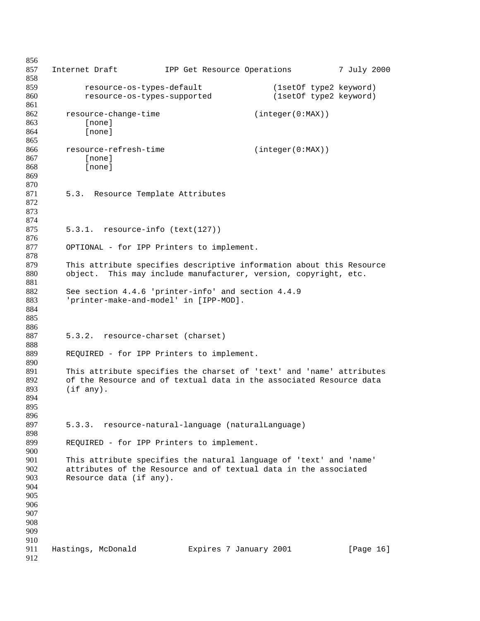```
856
857 Internet Draft 1PP Get Resource Operations 7 July 2000
858
859 resource-os-types-default (1setOf type2 keyword)
860 resource-os-types-supported (1setOf type2 keyword)
861
862 resource-change-time (integer(0:MAX))
863 [none]
864 [none]
865
866 resource-refresh-time (integer(0:MAX))
867 [none]
868 [none]
869
870
871 5.3. Resource Template Attributes
872
873
874
875 5.3.1. resource-info (text(127))
876
877 OPTIONAL - for IPP Printers to implement.
878
879 This attribute specifies descriptive information about this Resource
880 object. This may include manufacturer, version, copyright, etc.
881
882 See section 4.4.6 'printer-info' and section 4.4.9
883 'printer-make-and-model' in [IPP-MOD].
884
885
886
887 5.3.2. resource-charset (charset)
888
889 REQUIRED - for IPP Printers to implement.
890
891 This attribute specifies the charset of 'text' and 'name' attributes<br>892 of the Resource and of textual data in the associated Resource data
       of the Resource and of textual data in the associated Resource data
893 (if any).
894
895
896
897 5.3.3. resource-natural-language (naturalLanguage)
898
899 REQUIRED - for IPP Printers to implement.
900
901 This attribute specifies the natural language of 'text' and 'name'
902 attributes of the Resource and of textual data in the associated 903 Resource data (if any).
       Resource data (if any).
904
905
906
907
908
909
910
911 Hastings, McDonald Expires 7 January 2001 [Page 16]
912
```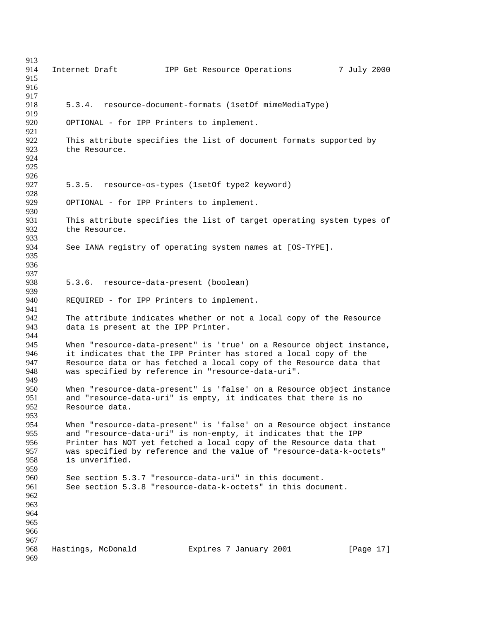914 Internet Draft 1PP Get Resource Operations 7 July 2000 5.3.4. resource-document-formats (1setOf mimeMediaType) OPTIONAL - for IPP Printers to implement. This attribute specifies the list of document formats supported by the Resource. 5.3.5. resource-os-types (1setOf type2 keyword) OPTIONAL - for IPP Printers to implement. 930<br>931 931 This attribute specifies the list of target operating system types of 932 the Resource. the Resource. See IANA registry of operating system names at [OS-TYPE]. 5.3.6. resource-data-present (boolean) REQUIRED - for IPP Printers to implement. The attribute indicates whether or not a local copy of the Resource data is present at the IPP Printer. 944<br>945 When "resource-data-present" is 'true' on a Resource object instance, 946 it indicates that the IPP Printer has stored a local copy of the<br>947 Besource data or has fetched a local copy of the Resource data the 947 Resource data or has fetched a local copy of the Resource data that<br>948 was specified by reference in "resource-data-uri". was specified by reference in "resource-data-uri". 950 When "resource-data-present" is 'false' on a Resource object instance<br>951 and "resource-data-uri" is empty, it indicates that there is no 951 and "resource-data-uri" is empty, it indicates that there is no<br>952 Resource data. Resource data. When "resource-data-present" is 'false' on a Resource object instance and "resource-data-uri" is non-empty, it indicates that the IPP Printer has NOT yet fetched a local copy of the Resource data that was specified by reference and the value of "resource-data-k-octets" is unverified. 960 See section 5.3.7 "resource-data-uri" in this document.<br>961 See section 5.3.8 "resource-data-k-octets" in this docu See section 5.3.8 "resource-data-k-octets" in this document. Hastings, McDonald Expires 7 January 2001 [Page 17]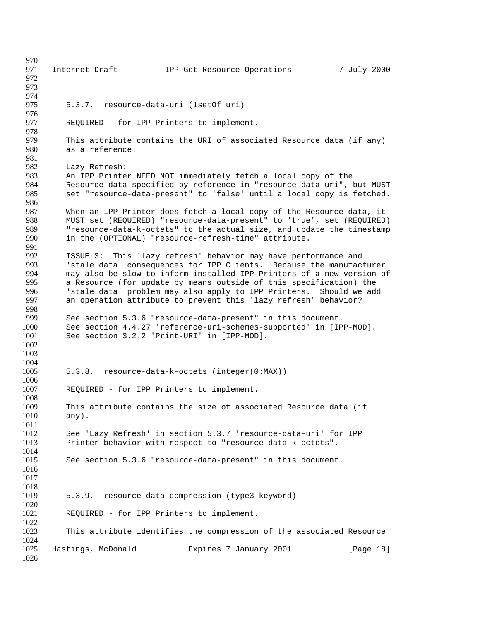971 Internet Draft 1PP Get Resource Operations 7 July 2000 5.3.7. resource-data-uri (1setOf uri) REQUIRED - for IPP Printers to implement. This attribute contains the URI of associated Resource data (if any) as a reference. Lazy Refresh: An IPP Printer NEED NOT immediately fetch a local copy of the 984 Resource data specified by reference in "resource-data-uri", but MUST<br>985 set "resource-data-present" to 'false' until a local copy is fetched. set "resource-data-present" to 'false' until a local copy is fetched. 987 When an IPP Printer does fetch a local copy of the Resource data, it<br>988 MUST set (REOUIRED) "resource-data-present" to 'true', set (REOUIRED 988 MUST set (REQUIRED) "resource-data-present" to 'true', set (REQUIRED)<br>989 Tresource-data-k-octets" to the actual size, and update the timestamp "resource-data-k-octets" to the actual size, and update the timestamp in the (OPTIONAL) "resource-refresh-time" attribute. ISSUE\_3: This 'lazy refresh' behavior may have performance and 993 Stale data' consequences for IPP Clients. Because the manufacturer<br>994 The may also be slow to inform installed IPP Printers of a new version of 994 may also be slow to inform installed IPP Printers of a new version of<br>995 a Resource (for update by means outside of this specification) the a Resource (for update by means outside of this specification) the 'stale data' problem may also apply to IPP Printers. Should we add an operation attribute to prevent this 'lazy refresh' behavior? See section 5.3.6 "resource-data-present" in this document. See section 4.4.27 'reference-uri-schemes-supported' in [IPP-MOD]. See section 3.2.2 'Print-URI' in [IPP-MOD]. 5.3.8. resource-data-k-octets (integer(0:MAX)) REQUIRED - for IPP Printers to implement. 1008<br>1009 This attribute contains the size of associated Resource data (if any). See 'Lazy Refresh' in section 5.3.7 'resource-data-uri' for IPP Printer behavior with respect to "resource-data-k-octets". See section 5.3.6 "resource-data-present" in this document. 5.3.9. resource-data-compression (type3 keyword) REQUIRED - for IPP Printers to implement. This attribute identifies the compression of the associated Resource Hastings, McDonald Expires 7 January 2001 [Page 18]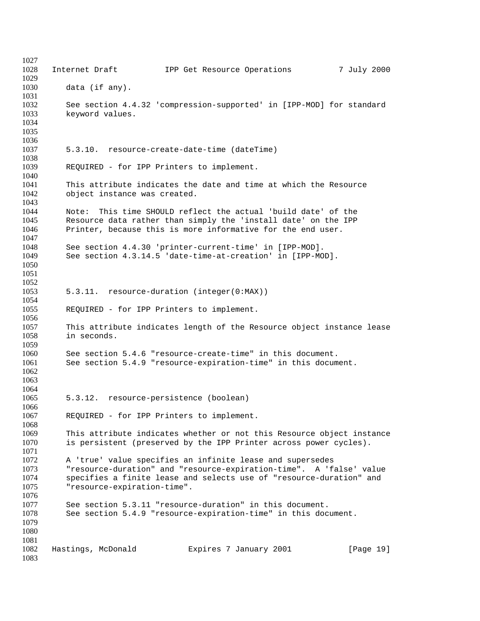Internet Draft IPP Get Resource Operations 7 July 2000 data (if any). See section 4.4.32 'compression-supported' in [IPP-MOD] for standard keyword values. 5.3.10. resource-create-date-time (dateTime) REQUIRED - for IPP Printers to implement. 1041 This attribute indicates the date and time at which the Resource<br>1042 object instance was created. object instance was created. 1044 Mote: This time SHOULD reflect the actual 'build date' of the 1994 1045 1045 Resource data rather than simply the 'install date' on the IPP<br>1046 Printer, because this is more informative for the end user. Printer, because this is more informative for the end user. See section 4.4.30 'printer-current-time' in [IPP-MOD]. See section 4.3.14.5 'date-time-at-creation' in [IPP-MOD]. 5.3.11. resource-duration (integer(0:MAX)) REQUIRED - for IPP Printers to implement. This attribute indicates length of the Resource object instance lease in seconds. 1060 See section 5.4.6 "resource-create-time" in this document.<br>1061 See section 5.4.9 "resource-expiration-time" in this docum See section 5.4.9 "resource-expiration-time" in this document. 5.3.12. resource-persistence (boolean) REQUIRED - for IPP Printers to implement. This attribute indicates whether or not this Resource object instance is persistent (preserved by the IPP Printer across power cycles). A 'true' value specifies an infinite lease and supersedes "resource-duration" and "resource-expiration-time". A 'false' value 1074 specifies a finite lease and selects use of "resource-duration" and 1075 vesource-expiration-time". "resource-expiration-time". See section 5.3.11 "resource-duration" in this document. See section 5.4.9 "resource-expiration-time" in this document. Hastings, McDonald Expires 7 January 2001 [Page 19]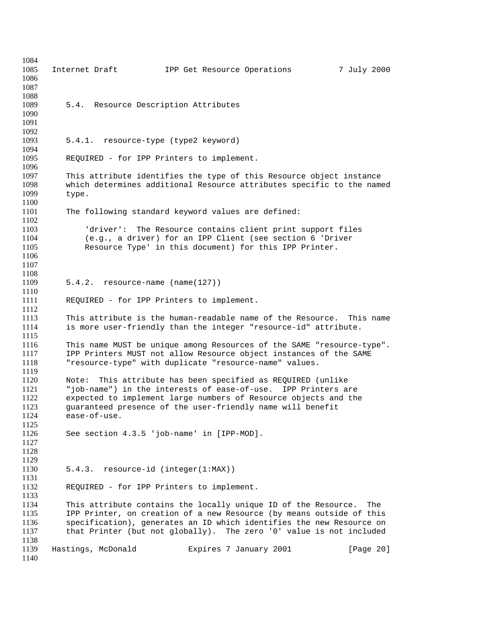| 1084<br>1085<br>1086<br>1087         | 7 July 2000<br>Internet Draft<br>IPP Get Resource Operations                                                                                                                                                                                                                                 |
|--------------------------------------|----------------------------------------------------------------------------------------------------------------------------------------------------------------------------------------------------------------------------------------------------------------------------------------------|
| 1088<br>1089<br>1090<br>1091         | 5.4. Resource Description Attributes                                                                                                                                                                                                                                                         |
| 1092<br>1093<br>1094                 | 5.4.1. resource-type (type2 keyword)                                                                                                                                                                                                                                                         |
| 1095<br>1096                         | REQUIRED - for IPP Printers to implement.                                                                                                                                                                                                                                                    |
| 1097<br>1098<br>1099<br>1100         | This attribute identifies the type of this Resource object instance<br>which determines additional Resource attributes specific to the named<br>type.                                                                                                                                        |
| 1101                                 | The following standard keyword values are defined:                                                                                                                                                                                                                                           |
| 1102<br>1103<br>1104<br>1105<br>1106 | 'driver': The Resource contains client print support files<br>(e.g., a driver) for an IPP Client (see section 6 'Driver<br>Resource Type' in this document) for this IPP Printer.                                                                                                            |
| 1107<br>1108<br>1109                 | $5.4.2.$ resource-name (name(127))                                                                                                                                                                                                                                                           |
| 1110<br>1111                         |                                                                                                                                                                                                                                                                                              |
| 1112                                 | REQUIRED - for IPP Printers to implement.                                                                                                                                                                                                                                                    |
| 1113<br>1114<br>1115                 | This attribute is the human-readable name of the Resource. This name<br>is more user-friendly than the integer "resource-id" attribute.                                                                                                                                                      |
| 1116<br>1117<br>1118<br>1119         | This name MUST be unique among Resources of the SAME "resource-type".<br>IPP Printers MUST not allow Resource object instances of the SAME<br>"resource-type" with duplicate "resource-name" values.                                                                                         |
| 1120<br>1121<br>1122<br>1123<br>1124 | This attribute has been specified as REQUIRED (unlike<br>Note:<br>"job-name") in the interests of ease-of-use. IPP Printers are<br>expected to implement large numbers of Resource objects and the<br>guaranteed presence of the user-friendly name will benefit<br>ease-of-use.             |
| 1125<br>1126<br>1127<br>1128         | See section 4.3.5 'job-name' in [IPP-MOD].                                                                                                                                                                                                                                                   |
| 1129<br>1130                         | 5.4.3. resource-id (integer(1:MAX))                                                                                                                                                                                                                                                          |
| 1131<br>1132<br>1133                 | REQUIRED - for IPP Printers to implement.                                                                                                                                                                                                                                                    |
| 1134<br>1135<br>1136<br>1137         | This attribute contains the locally unique ID of the Resource.<br>The<br>IPP Printer, on creation of a new Resource (by means outside of this<br>specification), generates an ID which identifies the new Resource on<br>that Printer (but not globally). The zero '0' value is not included |
| 1138<br>1139<br>1140                 | Hastings, McDonald<br>Expires 7 January 2001<br>[Page 20]                                                                                                                                                                                                                                    |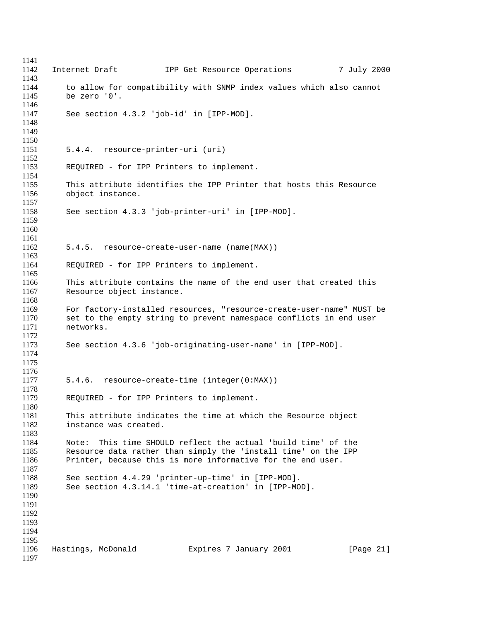1142 Internet Draft 1PP Get Resource Operations 7 July 2000 to allow for compatibility with SNMP index values which also cannot be zero '0'. See section 4.3.2 'job-id' in [IPP-MOD]. 5.4.4. resource-printer-uri (uri) REQUIRED - for IPP Printers to implement. 1155 This attribute identifies the IPP Printer that hosts this Resource<br>1156 object instance. object instance. See section 4.3.3 'job-printer-uri' in [IPP-MOD]. 5.4.5. resource-create-user-name (name(MAX)) REQUIRED - for IPP Printers to implement. This attribute contains the name of the end user that created this Resource object instance. For factory-installed resources, "resource-create-user-name" MUST be set to the empty string to prevent namespace conflicts in end user networks. See section 4.3.6 'job-originating-user-name' in [IPP-MOD]. 5.4.6. resource-create-time (integer(0:MAX)) REQUIRED - for IPP Printers to implement. This attribute indicates the time at which the Resource object instance was created. Note: This time SHOULD reflect the actual 'build time' of the Resource data rather than simply the 'install time' on the IPP Printer, because this is more informative for the end user. See section 4.4.29 'printer-up-time' in [IPP-MOD]. See section 4.3.14.1 'time-at-creation' in [IPP-MOD]. Hastings, McDonald Expires 7 January 2001 [Page 21]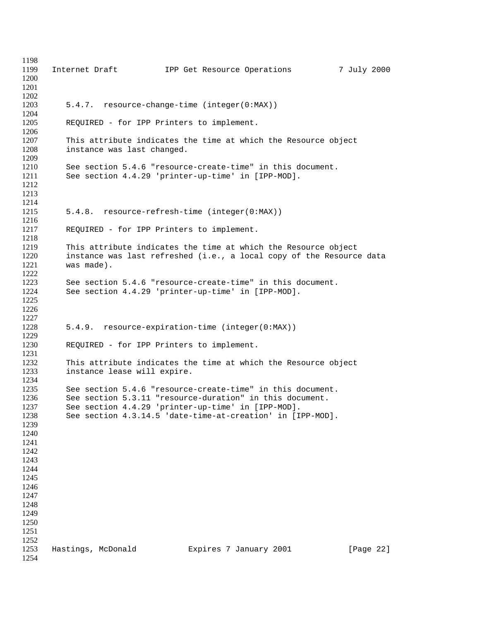1199 Internet Draft 1PP Get Resource Operations 7 July 2000 5.4.7. resource-change-time (integer(0:MAX)) REQUIRED - for IPP Printers to implement. This attribute indicates the time at which the Resource object instance was last changed. See section 5.4.6 "resource-create-time" in this document. See section 4.4.29 'printer-up-time' in [IPP-MOD]. 5.4.8. resource-refresh-time (integer(0:MAX)) REQUIRED - for IPP Printers to implement. This attribute indicates the time at which the Resource object instance was last refreshed (i.e., a local copy of the Resource data was made). See section 5.4.6 "resource-create-time" in this document. See section 4.4.29 'printer-up-time' in [IPP-MOD]. 5.4.9. resource-expiration-time (integer(0:MAX)) REQUIRED - for IPP Printers to implement. 1232 This attribute indicates the time at which the Resource object<br>1233 Instance lease will expire. instance lease will expire. 1235 See section 5.4.6 "resource-create-time" in this document.<br>1236 See section 5.3.11 "resource-duration" in this document. 1236 See section 5.3.11 "resource-duration" in this document.<br>1237 See section 4.4.29 'printer-up-time' in [IPP-MOD]. See section 4.4.29 'printer-up-time' in [IPP-MOD]. See section 4.3.14.5 'date-time-at-creation' in [IPP-MOD]. Hastings, McDonald Expires 7 January 2001 [Page 22]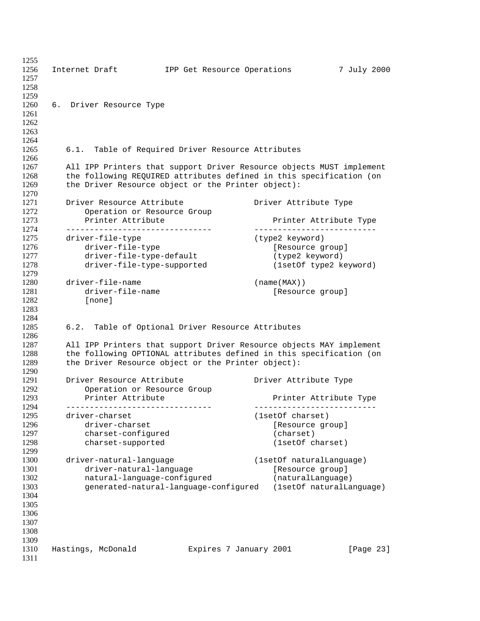1256 Internet Draft 1PP Get Resource Operations 7 July 2000 6. Driver Resource Type 6.1. Table of Required Driver Resource Attributes All IPP Printers that support Driver Resource objects MUST implement the following REQUIRED attributes defined in this specification (on 1269 the Driver Resource object or the Printer object): 1271 Driver Resource Attribute Driver Attribute Type<br>1272 Operation or Resource Group 1272 Operation or Resource Group<br>1273 Printer Attribute **Printer Attribute Printer Attribute** Printer Attribute Type ------------------------------- -------------------------- driver-file-type (type2 keyword) 1276 driver-file-type [Resource group]<br>1277 driver-file-type-default (type2 keyword) 1277 driver-file-type-default driver-file-type-supported (1setOf type2 keyword) driver-file-name (name(MAX)) driver-file-name [Resource group] [none] 6.2. Table of Optional Driver Resource Attributes All IPP Printers that support Driver Resource objects MAY implement the following OPTIONAL attributes defined in this specification (on the Driver Resource object or the Printer object): Driver Resource Attribute Driver Attribute Type Operation or Resource Group Printer Attribute Printer Attribute Type ------------------------------- -------------------------- driver-charset (1setOf charset) 1296 driver-charset [Resource group] 1297 charset-configured (charset) charset-supported (1setOf charset) 1300 driver-natural-language (1setOf naturalLanguage)<br>1301 driver-natural-language (Resource group) 1301 driver-natural-language [Resource group] natural-language-configured (naturalLanguage) generated-natural-language-configured (1setOf naturalLanguage) Hastings, McDonald Expires 7 January 2001 [Page 23]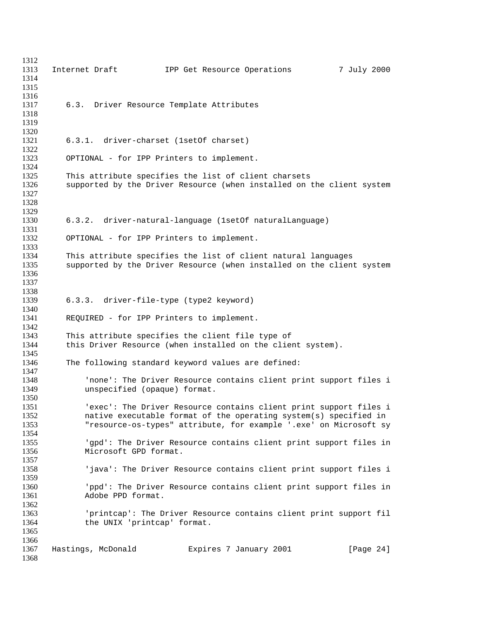| 1312         |                                                                                        |
|--------------|----------------------------------------------------------------------------------------|
| 1313         | Internet Draft<br>7 July 2000<br>IPP Get Resource Operations                           |
| 1314         |                                                                                        |
| 1315<br>1316 |                                                                                        |
| 1317         |                                                                                        |
| 1318         | 6.3. Driver Resource Template Attributes                                               |
| 1319         |                                                                                        |
| 1320         |                                                                                        |
| 1321         | 6.3.1. driver-charset (1set of charset)                                                |
| 1322         |                                                                                        |
| 1323         | OPTIONAL - for IPP Printers to implement.                                              |
| 1324         |                                                                                        |
| 1325         | This attribute specifies the list of client charsets                                   |
| 1326         | supported by the Driver Resource (when installed on the client system                  |
| 1327         |                                                                                        |
| 1328         |                                                                                        |
| 1329         |                                                                                        |
| 1330         | 6.3.2. driver-natural-language (1setOf naturalLanguage)                                |
| 1331         |                                                                                        |
| 1332         | OPTIONAL - for IPP Printers to implement.                                              |
| 1333         |                                                                                        |
| 1334         | This attribute specifies the list of client natural languages                          |
| 1335         | supported by the Driver Resource (when installed on the client system                  |
| 1336         |                                                                                        |
| 1337         |                                                                                        |
| 1338         |                                                                                        |
| 1339         | 6.3.3. driver-file-type (type2 keyword)                                                |
| 1340         |                                                                                        |
| 1341         | REQUIRED - for IPP Printers to implement.                                              |
| 1342         |                                                                                        |
| 1343         | This attribute specifies the client file type of                                       |
| 1344         | this Driver Resource (when installed on the client system).                            |
| 1345         |                                                                                        |
| 1346         | The following standard keyword values are defined:                                     |
| 1347         |                                                                                        |
| 1348         | 'none': The Driver Resource contains client print support files i                      |
| 1349         | unspecified (opaque) format.                                                           |
| 1350         |                                                                                        |
| 1351         | 'exec': The Driver Resource contains client print support files i                      |
| 1352         | native executable format of the operating system(s) specified in                       |
| 1353         | "resource-os-types" attribute, for example '.exe' on Microsoft sy                      |
| 1354         |                                                                                        |
| 1355         | 'gpd': The Driver Resource contains client print support files in                      |
| 1356         | Microsoft GPD format.                                                                  |
| 1357         |                                                                                        |
| 1358<br>1359 | 'java': The Driver Resource contains client print support files i                      |
| 1360         |                                                                                        |
| 1361         | 'ppd': The Driver Resource contains client print support files in<br>Adobe PPD format. |
| 1362         |                                                                                        |
| 1363         | 'printcap': The Driver Resource contains client print support fil                      |
| 1364         | the UNIX 'printcap' format.                                                            |
| 1365         |                                                                                        |
| 1366         |                                                                                        |
| 1367         | Hastings, McDonald<br>Expires 7 January 2001<br>[Page $24$ ]                           |
| 1368         |                                                                                        |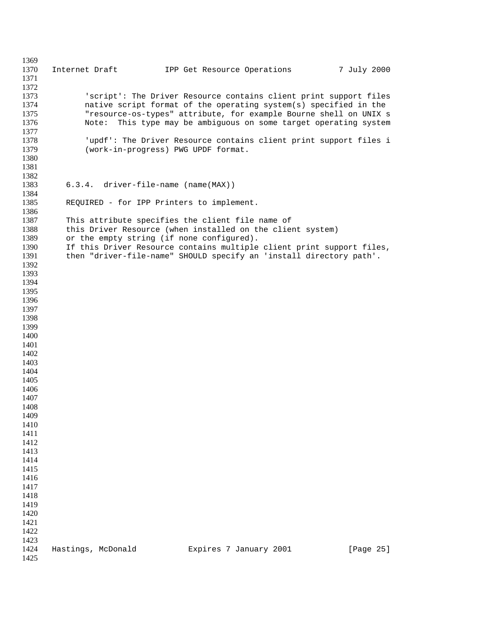1370 Internet Draft 1PP Get Resource Operations 7 July 2000 'script': The Driver Resource contains client print support files native script format of the operating system(s) specified in the "resource-os-types" attribute, for example Bourne shell on UNIX s Note: This type may be ambiguous on some target operating system 'updf': The Driver Resource contains client print support files i (work-in-progress) PWG UPDF format. 6.3.4. driver-file-name (name(MAX)) REQUIRED - for IPP Printers to implement. This attribute specifies the client file name of this Driver Resource (when installed on the client system) 1389 or the empty string (if none configured). If this Driver Resource contains multiple client print support files, then "driver-file-name" SHOULD specify an 'install directory path'. Hastings, McDonald Expires 7 January 2001 [Page 25]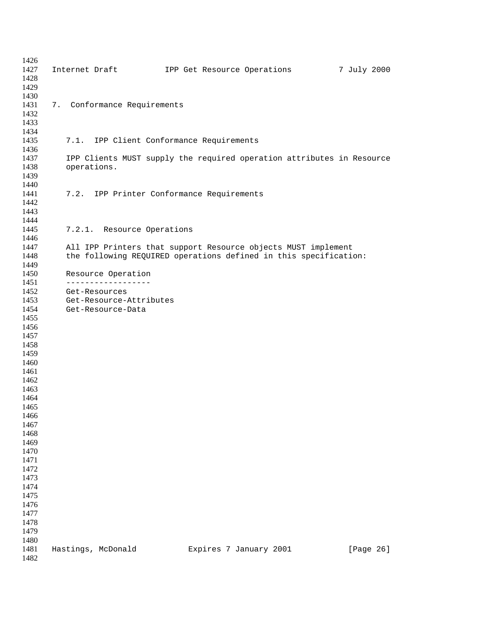| 1426         |                                                                       |
|--------------|-----------------------------------------------------------------------|
| 1427         | 7 July 2000<br>Internet Draft TPP Get Resource Operations             |
| 1428         |                                                                       |
| 1429         |                                                                       |
| 1430<br>1431 |                                                                       |
| 1432         | 7. Conformance Requirements                                           |
| 1433         |                                                                       |
| 1434         |                                                                       |
| 1435         | 7.1. IPP Client Conformance Requirements                              |
| 1436         |                                                                       |
| 1437         | IPP Clients MUST supply the required operation attributes in Resource |
| 1438         | operations.                                                           |
| 1439         |                                                                       |
| 1440         |                                                                       |
| 1441         | 7.2. IPP Printer Conformance Requirements                             |
| 1442         |                                                                       |
| 1443         |                                                                       |
| 1444         |                                                                       |
| 1445         | 7.2.1. Resource Operations                                            |
| 1446         |                                                                       |
| 1447         | All IPP Printers that support Resource objects MUST implement         |
| 1448         | the following REQUIRED operations defined in this specification:      |
| 1449         |                                                                       |
| 1450         | Resource Operation                                                    |
| 1451         | ------------------                                                    |
| 1452         | Get-Resources                                                         |
| 1453         | Get-Resource-Attributes                                               |
| 1454<br>1455 | Get-Resource-Data                                                     |
| 1456         |                                                                       |
| 1457         |                                                                       |
| 1458         |                                                                       |
| 1459         |                                                                       |
| 1460         |                                                                       |
| 1461         |                                                                       |
| 1462         |                                                                       |
| 1463         |                                                                       |
| 1464         |                                                                       |
| 1465         |                                                                       |
| 1466         |                                                                       |
| 1467         |                                                                       |
| 1468         |                                                                       |
| 1469         |                                                                       |
| 1470         |                                                                       |
| 1471         |                                                                       |
| 1472         |                                                                       |
| 1473         |                                                                       |
| 1474         |                                                                       |
| 1475         |                                                                       |
| 1476         |                                                                       |
| 1477         |                                                                       |
| 1478         |                                                                       |
| 1479         |                                                                       |
| 1480<br>1481 | Hastings, McDonald<br>Expires 7 January 2001<br>[Page 26]             |
| 1482         |                                                                       |
|              |                                                                       |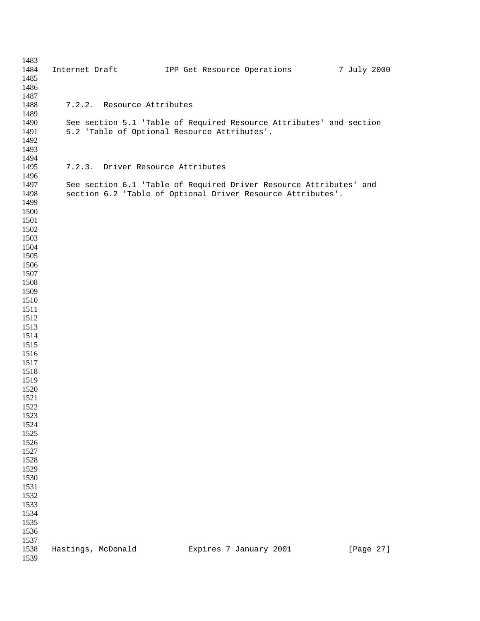| 1483         |                                   |                                                                     |             |
|--------------|-----------------------------------|---------------------------------------------------------------------|-------------|
| 1484         |                                   | Internet Draft [1994] IPP Get Resource Operations                   | 7 July 2000 |
| 1485         |                                   |                                                                     |             |
| 1486         |                                   |                                                                     |             |
| 1487         |                                   |                                                                     |             |
| 1488<br>1489 | 7.2.2. Resource Attributes        |                                                                     |             |
| 1490         |                                   | See section 5.1 'Table of Required Resource Attributes' and section |             |
| 1491         |                                   | 5.2 'Table of Optional Resource Attributes'.                        |             |
| 1492         |                                   |                                                                     |             |
| 1493         |                                   |                                                                     |             |
| 1494         |                                   |                                                                     |             |
| 1495         | 7.2.3. Driver Resource Attributes |                                                                     |             |
| 1496         |                                   |                                                                     |             |
| 1497         |                                   | See section 6.1 'Table of Required Driver Resource Attributes' and  |             |
| 1498         |                                   | section 6.2 'Table of Optional Driver Resource Attributes'.         |             |
| 1499         |                                   |                                                                     |             |
| 1500         |                                   |                                                                     |             |
| 1501         |                                   |                                                                     |             |
| 1502<br>1503 |                                   |                                                                     |             |
| 1504         |                                   |                                                                     |             |
| 1505         |                                   |                                                                     |             |
| 1506         |                                   |                                                                     |             |
| 1507         |                                   |                                                                     |             |
| 1508         |                                   |                                                                     |             |
| 1509         |                                   |                                                                     |             |
| 1510         |                                   |                                                                     |             |
| 1511         |                                   |                                                                     |             |
| 1512         |                                   |                                                                     |             |
| 1513         |                                   |                                                                     |             |
| 1514         |                                   |                                                                     |             |
| 1515<br>1516 |                                   |                                                                     |             |
| 1517         |                                   |                                                                     |             |
| 1518         |                                   |                                                                     |             |
| 1519         |                                   |                                                                     |             |
| 1520         |                                   |                                                                     |             |
| 1521         |                                   |                                                                     |             |
| 1522         |                                   |                                                                     |             |
| 1523         |                                   |                                                                     |             |
| 1524         |                                   |                                                                     |             |
| 1525         |                                   |                                                                     |             |
| 1526         |                                   |                                                                     |             |
| 1527         |                                   |                                                                     |             |
| 1528         |                                   |                                                                     |             |
| 1529<br>1530 |                                   |                                                                     |             |
| 1531         |                                   |                                                                     |             |
| 1532         |                                   |                                                                     |             |
| 1533         |                                   |                                                                     |             |
| 1534         |                                   |                                                                     |             |
| 1535         |                                   |                                                                     |             |
| 1536         |                                   |                                                                     |             |
| 1537         |                                   |                                                                     |             |
| 1538         | Hastings, McDonald                | Expires 7 January 2001                                              | [Page 27]   |
| 1539         |                                   |                                                                     |             |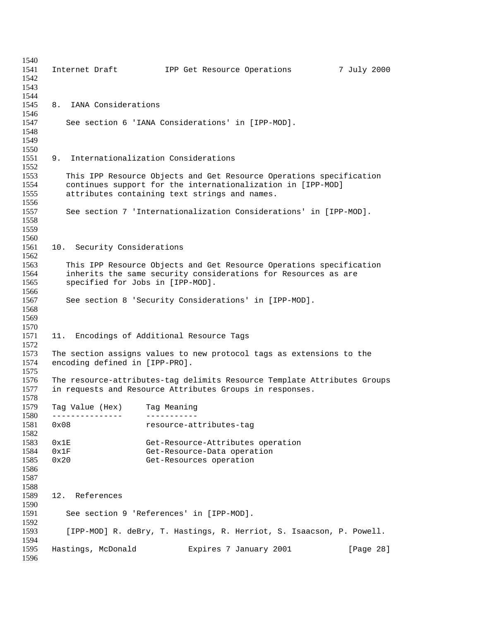1541 Internet Draft 1PP Get Resource Operations 7 July 2000 8. IANA Considerations See section 6 'IANA Considerations' in [IPP-MOD]. 9. Internationalization Considerations This IPP Resource Objects and Get Resource Operations specification continues support for the internationalization in [IPP-MOD] attributes containing text strings and names. See section 7 'Internationalization Considerations' in [IPP-MOD]. 10. Security Considerations This IPP Resource Objects and Get Resource Operations specification inherits the same security considerations for Resources as are specified for Jobs in [IPP-MOD]. See section 8 'Security Considerations' in [IPP-MOD]. 11. Encodings of Additional Resource Tags 1573 The section assigns values to new protocol tags as extensions to the 1574 encoding defined in [IPP-PRO]. encoding defined in [IPP-PRO]. The resource-attributes-tag delimits Resource Template Attributes Groups in requests and Resource Attributes Groups in responses. 1578<br>1579 Tag Value (Hex) Tag Meaning --------------- ----------- 0x08 resource-attributes-tag 0x1E Get-Resource-Attributes operation 0x1F Get-Resource-Data operation 0x20 Get-Resources operation 12. References See section 9 'References' in [IPP-MOD]. [IPP-MOD] R. deBry, T. Hastings, R. Herriot, S. Isaacson, P. Powell. Hastings, McDonald Expires 7 January 2001 [Page 28]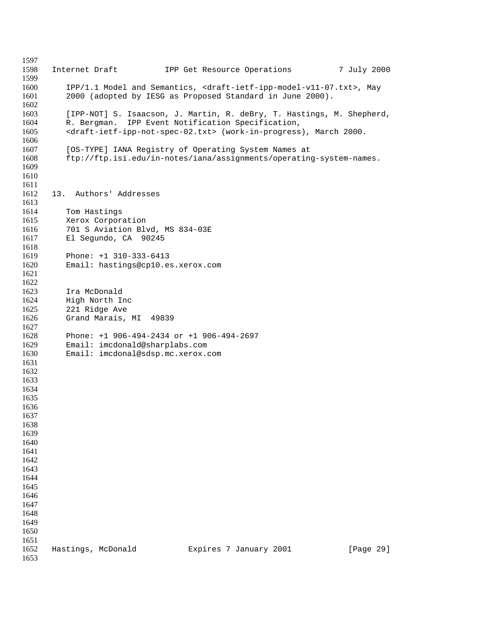Internet Draft IPP Get Resource Operations 7 July 2000 IPP/1.1 Model and Semantics, <draft-ietf-ipp-model-v11-07.txt>, May 2000 (adopted by IESG as Proposed Standard in June 2000). [IPP-NOT] S. Isaacson, J. Martin, R. deBry, T. Hastings, M. Shepherd, R. Bergman. IPP Event Notification Specification, <draft-ietf-ipp-not-spec-02.txt> (work-in-progress), March 2000. [OS-TYPE] IANA Registry of Operating System Names at ftp://ftp.isi.edu/in-notes/iana/assignments/operating-system-names. 13. Authors' Addresses 1614 Tom Hastings<br>1615 Xerox Corpora Xerox Corporation 701 S Aviation Blvd, MS 834-03E El Segundo, CA 90245 Phone: +1 310-333-6413 Email: hastings@cp10.es.xerox.com Ira McDonald High North Inc 221 Ridge Ave Grand Marais, MI 49839 Phone: +1 906-494-2434 or +1 906-494-2697 Email: imcdonald@sharplabs.com Email: imcdonal@sdsp.mc.xerox.com Hastings, McDonald Expires 7 January 2001 [Page 29]